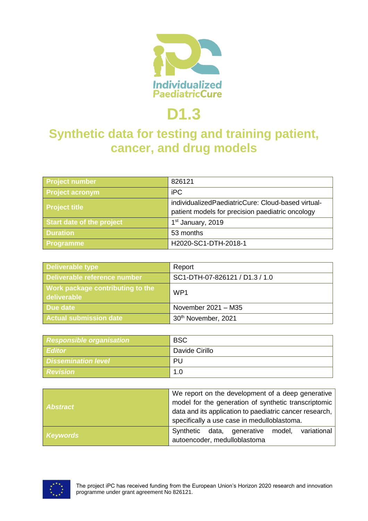

# **D1.3**

# **Synthetic data for testing and training patient, cancer, and drug models**

| Project number            | 826121                                                                                                 |
|---------------------------|--------------------------------------------------------------------------------------------------------|
| <b>Project acronym</b>    | <b>iPC</b>                                                                                             |
| <b>Project title</b>      | individualizedPaediatricCure: Cloud-based virtual-<br>patient models for precision paediatric oncology |
| Start date of the project | 1 <sup>st</sup> January, 2019                                                                          |
| <b>Duration</b>           | 53 months                                                                                              |
| <b>Programme</b>          | H2020-SC1-DTH-2018-1                                                                                   |

| <b>Deliverable type</b>                         | Report                         |
|-------------------------------------------------|--------------------------------|
| Deliverable reference number                    | SC1-DTH-07-826121 / D1.3 / 1.0 |
| Work package contributing to the<br>deliverable | WP <sub>1</sub>                |
| Due date                                        | November 2021 - M35            |
| <b>Actual submission date</b>                   | 30th November, 2021            |

| <b>Responsible organisation</b> | <b>BSC</b>     |
|---------------------------------|----------------|
| <b>Editor</b>                   | Davide Cirillo |
| <b>Dissemination level</b>      | PU             |
| <b>Revision</b>                 | 1.0            |

| <b>Abstract</b> | We report on the development of a deep generative<br>model for the generation of synthetic transcriptomic<br>data and its application to paediatric cancer research,<br>specifically a use case in medulloblastoma. |
|-----------------|---------------------------------------------------------------------------------------------------------------------------------------------------------------------------------------------------------------------|
| <b>Keywords</b> | variational<br>data, generative model,<br>Synthetic<br>autoencoder, medulloblastoma                                                                                                                                 |

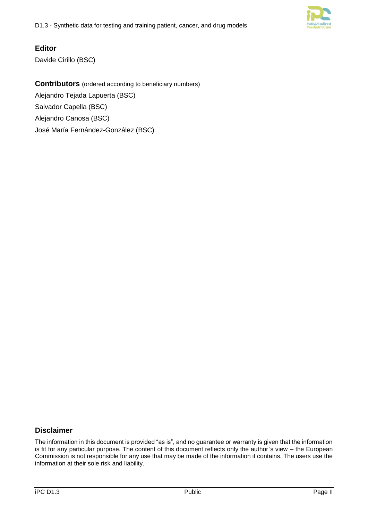

#### **Editor**

Davide Cirillo (BSC)

**Contributors** (ordered according to beneficiary numbers) Alejandro Tejada Lapuerta (BSC) Salvador Capella (BSC) Alejandro Canosa (BSC) José María Fernández-González (BSC)

#### **Disclaimer**

The information in this document is provided "as is", and no guarantee or warranty is given that the information is fit for any particular purpose. The content of this document reflects only the author`s view – the European Commission is not responsible for any use that may be made of the information it contains. The users use the information at their sole risk and liability.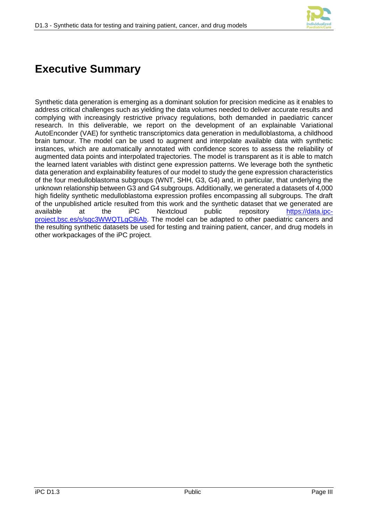

# **Executive Summary**

Synthetic data generation is emerging as a dominant solution for precision medicine as it enables to address critical challenges such as yielding the data volumes needed to deliver accurate results and complying with increasingly restrictive privacy regulations, both demanded in paediatric cancer research. In this deliverable, we report on the development of an explainable Variational AutoEnconder (VAE) for synthetic transcriptomics data generation in medulloblastoma, a childhood brain tumour. The model can be used to augment and interpolate available data with synthetic instances, which are automatically annotated with confidence scores to assess the reliability of augmented data points and interpolated trajectories. The model is transparent as it is able to match the learned latent variables with distinct gene expression patterns. We leverage both the synthetic data generation and explainability features of our model to study the gene expression characteristics of the four medulloblastoma subgroups (WNT, SHH, G3, G4) and, in particular, that underlying the unknown relationship between G3 and G4 subgroups. Additionally, we generated a datasets of 4,000 high fidelity synthetic medulloblastoma expression profiles encompassing all subgroups. The draft of the unpublished article resulted from this work and the synthetic dataset that we generated are available at the iPC Nextcloud public repository [https://data.ipc](https://data.ipc-project.bsc.es/s/sqc3WWQTLgC8iAb)[project.bsc.es/s/sqc3WWQTLgC8iAb.](https://data.ipc-project.bsc.es/s/sqc3WWQTLgC8iAb) The model can be adapted to other paediatric cancers and the resulting synthetic datasets be used for testing and training patient, cancer, and drug models in other workpackages of the iPC project.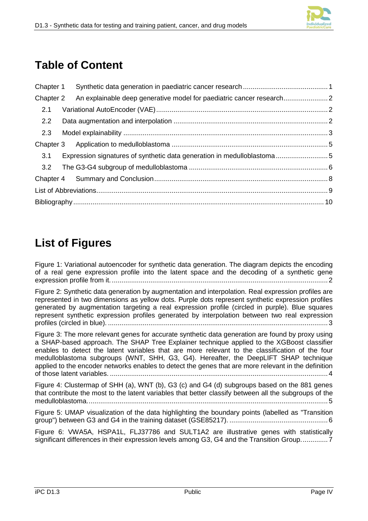# **Table of Content**

| Chapter 1 |                                                                        |  |
|-----------|------------------------------------------------------------------------|--|
| Chapter 2 | An explainable deep generative model for paediatric cancer research    |  |
| 2.1       |                                                                        |  |
| 2.2       |                                                                        |  |
| 2.3       |                                                                        |  |
|           |                                                                        |  |
| 3.1       | Expression signatures of synthetic data generation in medulloblastoma5 |  |
|           |                                                                        |  |
|           |                                                                        |  |
|           |                                                                        |  |
|           |                                                                        |  |

# **List of Figures**

[Figure 1: Variational autoencoder for synthetic data generation. The diagram depicts the encoding](#page-5-3)  [of a real gene expression profile into the latent space and the decoding of a synthetic gene](#page-5-3)  [expression profile from it.................................................................................................................](#page-5-3) 2

[Figure 2: Synthetic data generation by augmentation and interpolation. Real expression profiles are](#page-6-1)  [represented in two dimensions as yellow dots. Purple dots represent synthetic expression profiles](#page-6-1)  generated by [augmentation targeting a real expression profile \(circled in purple\). Blue squares](#page-6-1)  [represent synthetic expression profiles generated by interpolation between two real expression](#page-6-1)  profiles (circled in blue). [..................................................................................................................](#page-6-1) 3

[Figure 3: The more relevant genes for accurate synthetic data generation are found by proxy using](#page-7-0)  [a SHAP-based approach. The SHAP Tree Explainer technique applied to the XGBoost classifier](#page-7-0)  [enables to detect the latent variables that are more relevant to the classification of the four](#page-7-0)  [medulloblastoma subgroups \(WNT, SHH, G3, G4\). Hereafter, the DeepLIFT SHAP technique](#page-7-0)  [applied to the encoder networks enables to detect the genes that are more relevant in the definition](#page-7-0)  of those latent variables. [.................................................................................................................](#page-7-0) 4

[Figure 4: Clustermap of SHH \(a\), WNT \(b\), G3 \(c\) and G4 \(d\) subgroups based on the 881 genes](#page-8-2)  [that contribute the most to the latent variables that better classify between all the subgroups of the](#page-8-2)  [medulloblastoma.............................................................................................................................](#page-8-2) 5

[Figure 5: UMAP visualization of the data highlighting the boundary points \(labelled as "Transition](#page-9-1)  [group"\) between G3 and G4 in the training dataset \(GSE85217\).](#page-9-1) ................................................... 6

[Figure 6: VWA5A, HSPA1L, FLJ37786 and SULT1A2 are illustrative genes with statistically](#page-10-0)  [significant differences in their expression levels among G3, G4 and the Transition Group..............](#page-10-0) 7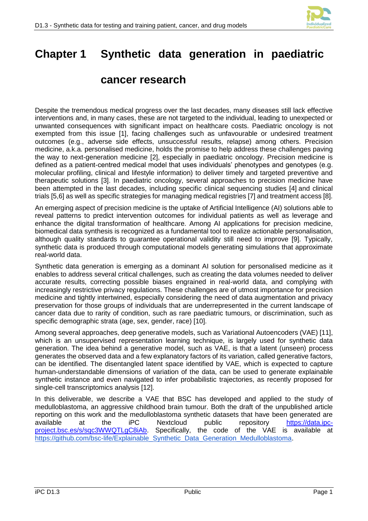

# <span id="page-4-0"></span>**Chapter 1 Synthetic data generation in paediatric**

## **cancer research**

Despite the tremendous medical progress over the last decades, many diseases still lack effective interventions and, in many cases, these are not targeted to the individual, leading to unexpected or unwanted consequences with significant impact on healthcare costs. Paediatric oncology is not exempted from this issue [1], facing challenges such as unfavourable or undesired treatment outcomes (e.g., adverse side effects, unsuccessful results, relapse) among others. Precision medicine, a.k.a. personalised medicine, holds the promise to help address these challenges paving the way to next-generation medicine [2], especially in paediatric oncology. Precision medicine is defined as a patient-centred medical model that uses individuals' phenotypes and genotypes (e.g. molecular profiling, clinical and lifestyle information) to deliver timely and targeted preventive and therapeutic solutions [3]. In paediatric oncology, several approaches to precision medicine have been attempted in the last decades, including specific clinical sequencing studies [4] and clinical trials [5,6] as well as specific strategies for managing medical registries [7] and treatment access [8].

An emerging aspect of precision medicine is the uptake of Artificial Intelligence (AI) solutions able to reveal patterns to predict intervention outcomes for individual patients as well as leverage and enhance the digital transformation of healthcare. Among AI applications for precision medicine, biomedical data synthesis is recognized as a fundamental tool to realize actionable personalisation, although quality standards to guarantee operational validity still need to improve [9]. Typically, synthetic data is produced through computational models generating simulations that approximate real-world data.

Synthetic data generation is emerging as a dominant AI solution for personalised medicine as it enables to address several critical challenges, such as creating the data volumes needed to deliver accurate results, correcting possible biases engrained in real-world data, and complying with increasingly restrictive privacy regulations. These challenges are of utmost importance for precision medicine and tightly intertwined, especially considering the need of data augmentation and privacy preservation for those groups of individuals that are underrepresented in the current landscape of cancer data due to rarity of condition, such as rare paediatric tumours, or discrimination, such as specific demographic strata (age, sex, gender, race) [10].

Among several approaches, deep generative models, such as Variational Autoencoders (VAE) [11], which is an unsupervised representation learning technique, is largely used for synthetic data generation. The idea behind a generative model, such as VAE, is that a latent (unseen) process generates the observed data and a few explanatory factors of its variation, called generative factors, can be identified. The disentangled latent space identified by VAE, which is expected to capture human-understandable dimensions of variation of the data, can be used to generate explainable synthetic instance and even navigated to infer probabilistic trajectories, as recently proposed for single-cell transcriptomics analysis [12].

In this deliverable, we describe a VAE that BSC has developed and applied to the study of medulloblastoma, an aggressive childhood brain tumour. Both the draft of the unpublished article reporting on this work and the medulloblastoma synthetic datasets that have been generated are available at the iPC Nextcloud public repository [https://data.ipc](https://data.ipc-project.bsc.es/s/sqc3WWQTLgC8iAb)[project.bsc.es/s/sqc3WWQTLgC8iAb.](https://data.ipc-project.bsc.es/s/sqc3WWQTLgC8iAb) Specifically, the code of the VAE is available at [https://github.com/bsc-life/Explainable\\_Synthetic\\_Data\\_Generation\\_Medulloblastoma.](https://github.com/bsc-life/Explainable_Synthetic_Data_Generation_Medulloblastoma)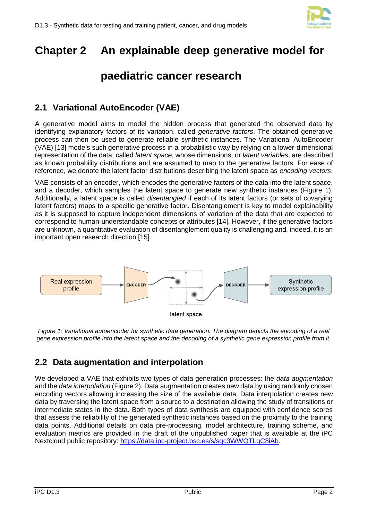

# <span id="page-5-0"></span>**Chapter 2 An explainable deep generative model for**

## **paediatric cancer research**

### <span id="page-5-1"></span>**2.1 Variational AutoEncoder (VAE)**

A generative model aims to model the hidden process that generated the observed data by identifying explanatory factors of its variation, called *generative factors*. The obtained generative process can then be used to generate reliable synthetic instances. The Variational AutoEncoder (VAE) [13] models such generative process in a probabilistic way by relying on a lower-dimensional representation of the data, called *latent space*, whose dimensions, or *latent variables*, are described as known probability distributions and are assumed to map to the generative factors. For ease of reference, we denote the latent factor distributions describing the latent space as *encoding vectors*.

VAE consists of an encoder, which encodes the generative factors of the data into the latent space, and a decoder, which samples the latent space to generate new synthetic instances [\(Figure 1\)](#page-5-3). Additionally, a latent space is called *disentangled* if each of its latent factors (or sets of covarying latent factors) maps to a specific generative factor. Disentanglement is key to model explainability as it is supposed to capture independent dimensions of variation of the data that are expected to correspond to human-understandable concepts or attributes [14]. However, if the generative factors are unknown, a quantitative evaluation of disentanglement quality is challenging and, indeed, it is an important open research direction [15].



<span id="page-5-3"></span>*Figure 1: Variational autoencoder for synthetic data generation. The diagram depicts the encoding of a real gene expression profile into the latent space and the decoding of a synthetic gene expression profile from it.*

#### <span id="page-5-2"></span>**2.2 Data augmentation and interpolation**

We developed a VAE that exhibits two types of data generation processes: the *data augmentation* and the *data interpolation* [\(Figure 2\)](#page-6-1). Data augmentation creates new data by using randomly chosen encoding vectors allowing increasing the size of the available data. Data interpolation creates new data by traversing the latent space from a source to a destination allowing the study of transitions or intermediate states in the data. Both types of data synthesis are equipped with confidence scores that assess the reliability of the generated synthetic instances based on the proximity to the training data points. Additional details on data pre-processing, model architecture, training scheme, and evaluation metrics are provided in the draft of the unpublished paper that is available at the iPC Nextcloud public repository: [https://data.ipc-project.bsc.es/s/sqc3WWQTLgC8iAb.](https://data.ipc-project.bsc.es/s/sqc3WWQTLgC8iAb)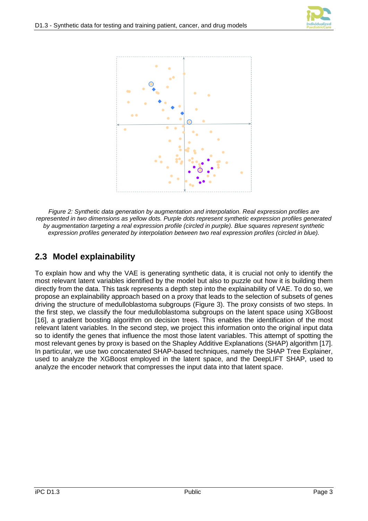

<span id="page-6-1"></span>*Figure 2: Synthetic data generation by augmentation and interpolation. Real expression profiles are represented in two dimensions as yellow dots. Purple dots represent synthetic expression profiles generated by augmentation targeting a real expression profile (circled in purple). Blue squares represent synthetic expression profiles generated by interpolation between two real expression profiles (circled in blue).*

## <span id="page-6-0"></span>**2.3 Model explainability**

To explain how and why the VAE is generating synthetic data, it is crucial not only to identify the most relevant latent variables identified by the model but also to puzzle out how it is building them directly from the data. This task represents a depth step into the explainability of VAE. To do so, we propose an explainability approach based on a proxy that leads to the selection of subsets of genes driving the structure of medulloblastoma subgroups [\(Figure 3\)](#page-7-0). The proxy consists of two steps. In the first step, we classify the four medulloblastoma subgroups on the latent space using XGBoost [16], a gradient boosting algorithm on decision trees. This enables the identification of the most relevant latent variables. In the second step, we project this information onto the original input data so to identify the genes that influence the most those latent variables. This attempt of spotting the most relevant genes by proxy is based on the Shapley Additive Explanations (SHAP) algorithm [17]. In particular, we use two concatenated SHAP-based techniques, namely the SHAP Tree Explainer, used to analyze the XGBoost employed in the latent space, and the DeepLIFT SHAP, used to analyze the encoder network that compresses the input data into that latent space.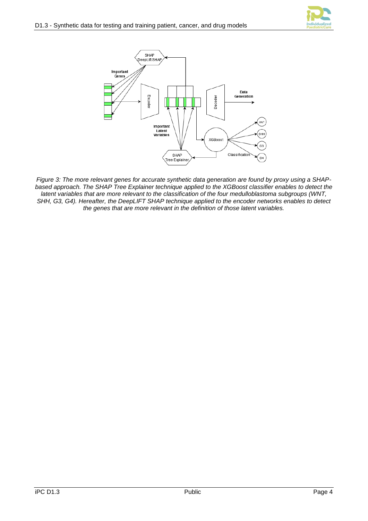



<span id="page-7-0"></span>*Figure 3: The more relevant genes for accurate synthetic data generation are found by proxy using a SHAPbased approach. The SHAP Tree Explainer technique applied to the XGBoost classifier enables to detect the latent variables that are more relevant to the classification of the four medulloblastoma subgroups (WNT, SHH, G3, G4). Hereafter, the DeepLIFT SHAP technique applied to the encoder networks enables to detect the genes that are more relevant in the definition of those latent variables.*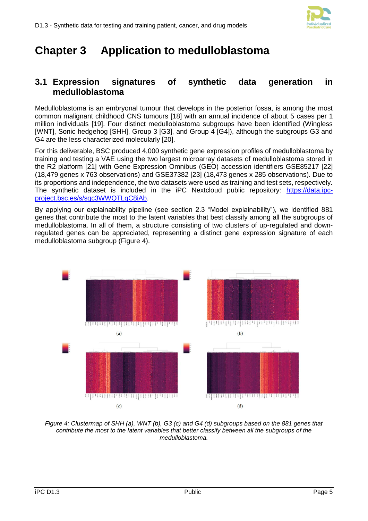

# <span id="page-8-0"></span>**Chapter 3 Application to medulloblastoma**

#### <span id="page-8-1"></span>**3.1 Expression signatures of synthetic data generation in medulloblastoma**

Medulloblastoma is an embryonal tumour that develops in the posterior fossa, is among the most common malignant childhood CNS tumours [18] with an annual incidence of about 5 cases per 1 million individuals [19]. Four distinct medulloblastoma subgroups have been identified (Wingless [WNT], Sonic hedgehog [SHH], Group 3 [G3], and Group 4 [G4]), although the subgroups G3 and G4 are the less characterized molecularly [20].

For this deliverable, BSC produced 4,000 synthetic gene expression profiles of medulloblastoma by training and testing a VAE using the two largest microarray datasets of medulloblastoma stored in the R2 platform [21] with Gene Expression Omnibus (GEO) accession identifiers GSE85217 [22] (18,479 genes x 763 observations) and GSE37382 [23] (18,473 genes x 285 observations). Due to its proportions and independence, the two datasets were used as training and test sets, respectively. The synthetic dataset is included in the iPC Nextcloud public repository: [https://data.ipc](https://data.ipc-project.bsc.es/s/sqc3WWQTLgC8iAb)[project.bsc.es/s/sqc3WWQTLgC8iAb.](https://data.ipc-project.bsc.es/s/sqc3WWQTLgC8iAb)

By applying our explainability pipeline (see section 2.3 "Model explainability"), we identified 881 genes that contribute the most to the latent variables that best classify among all the subgroups of medulloblastoma. In all of them, a structure consisting of two clusters of up-regulated and downregulated genes can be appreciated, representing a distinct gene expression signature of each medulloblastoma subgroup [\(Figure 4\)](#page-8-2).



<span id="page-8-2"></span>*Figure 4: Clustermap of SHH (a), WNT (b), G3 (c) and G4 (d) subgroups based on the 881 genes that contribute the most to the latent variables that better classify between all the subgroups of the medulloblastoma.*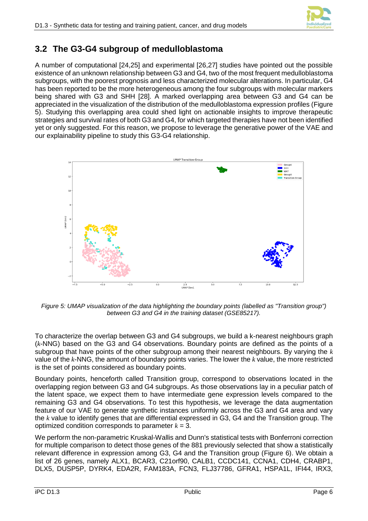

### <span id="page-9-0"></span>**3.2 The G3-G4 subgroup of medulloblastoma**

A number of computational [24,25] and experimental [26,27] studies have pointed out the possible existence of an unknown relationship between G3 and G4, two of the most frequent medulloblastoma subgroups, with the poorest prognosis and less characterized molecular alterations. In particular, G4 has been reported to be the more heterogeneous among the four subgroups with molecular markers being shared with G3 and SHH [28]. A marked overlapping area between G3 and G4 can be appreciated in the visualization of the distribution of the medulloblastoma expression profiles [\(Figure](#page-9-1)  [5\)](#page-9-1). Studying this overlapping area could shed light on actionable insights to improve therapeutic strategies and survival rates of both G3 and G4, for which targeted therapies have not been identified yet or only suggested. For this reason, we propose to leverage the generative power of the VAE and our explainability pipeline to study this G3-G4 relationship.



<span id="page-9-1"></span>*Figure 5: UMAP visualization of the data highlighting the boundary points (labelled as "Transition group") between G3 and G4 in the training dataset (GSE85217).*

To characterize the overlap between G3 and G4 subgroups, we build a k-nearest neighbours graph (*k*-NNG) based on the G3 and G4 observations. Boundary points are defined as the points of a subgroup that have points of the other subgroup among their nearest neighbours. By varying the *k* value of the *k*-NNG, the amount of boundary points varies. The lower the *k* value, the more restricted is the set of points considered as boundary points.

Boundary points, henceforth called Transition group, correspond to observations located in the overlapping region between G3 and G4 subgroups. As those observations lay in a peculiar patch of the latent space, we expect them to have intermediate gene expression levels compared to the remaining G3 and G4 observations. To test this hypothesis, we leverage the data augmentation feature of our VAE to generate synthetic instances uniformly across the G3 and G4 area and vary the *k* value to identify genes that are differential expressed in G3, G4 and the Transition group. The optimized condition corresponds to parameter  $k = 3$ .

We perform the non-parametric Kruskal-Wallis and Dunn's statistical tests with Bonferroni correction for multiple comparison to detect those genes of the 881 previously selected that show a statistically relevant difference in expression among G3, G4 and the Transition group [\(Figure 6\)](#page-10-0). We obtain a list of 26 genes, namely ALX1, BCAR3, C21orf90, CALB1, CCDC141, CCNA1, CDH4, CRABP1, DLX5, DUSP5P, DYRK4, EDA2R, FAM183A, FCN3, FLJ37786, GFRA1, HSPA1L, IFI44, IRX3,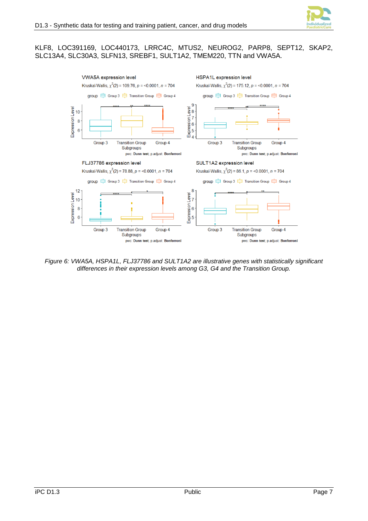

#### KLF8, LOC391169, LOC440173, LRRC4C, MTUS2, NEUROG2, PARP8, SEPT12, SKAP2, SLC13A4, SLC30A3, SLFN13, SREBF1, SULT1A2, TMEM220, TTN and VWA5A.



<span id="page-10-0"></span>*Figure 6: VWA5A, HSPA1L, FLJ37786 and SULT1A2 are illustrative genes with statistically significant differences in their expression levels among G3, G4 and the Transition Group.*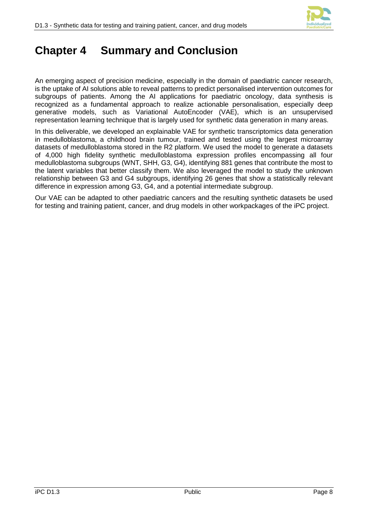

## <span id="page-11-0"></span>**Chapter 4 Summary and Conclusion**

An emerging aspect of precision medicine, especially in the domain of paediatric cancer research, is the uptake of AI solutions able to reveal patterns to predict personalised intervention outcomes for subgroups of patients. Among the AI applications for paediatric oncology, data synthesis is recognized as a fundamental approach to realize actionable personalisation, especially deep generative models, such as Variational AutoEncoder (VAE), which is an unsupervised representation learning technique that is largely used for synthetic data generation in many areas.

In this deliverable, we developed an explainable VAE for synthetic transcriptomics data generation in medulloblastoma, a childhood brain tumour, trained and tested using the largest microarray datasets of medulloblastoma stored in the R2 platform. We used the model to generate a datasets of 4,000 high fidelity synthetic medulloblastoma expression profiles encompassing all four medulloblastoma subgroups (WNT, SHH, G3, G4), identifying 881 genes that contribute the most to the latent variables that better classify them. We also leveraged the model to study the unknown relationship between G3 and G4 subgroups, identifying 26 genes that show a statistically relevant difference in expression among G3, G4, and a potential intermediate subgroup.

Our VAE can be adapted to other paediatric cancers and the resulting synthetic datasets be used for testing and training patient, cancer, and drug models in other workpackages of the iPC project.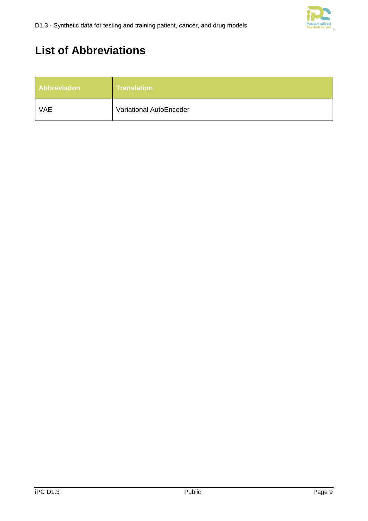

# <span id="page-12-0"></span>**List of Abbreviations**

| <b>Abbreviation</b> | Translation             |
|---------------------|-------------------------|
| <b>VAE</b>          | Variational AutoEncoder |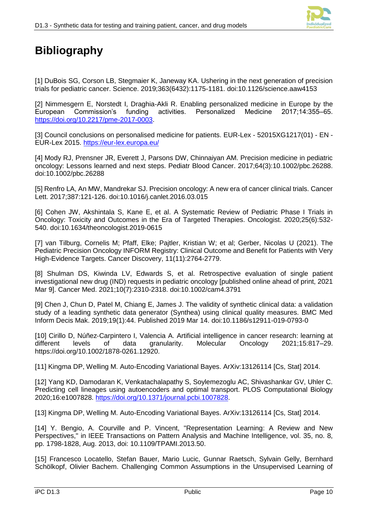

# <span id="page-13-0"></span>**Bibliography**

[1] DuBois SG, Corson LB, Stegmaier K, Janeway KA. Ushering in the next generation of precision trials for pediatric cancer. Science. 2019;363(6432):1175-1181. doi:10.1126/science.aaw4153

[2] Nimmesgern E, Norstedt I, Draghia-Akli R. Enabling personalized medicine in Europe by the European Commission's funding activities. Personalized Medicine 2017;14:355–65. [https://doi.org/10.2217/pme-2017-0003.](https://doi.org/10.2217/pme-2017-0003)

[3] Council conclusions on personalised medicine for patients. EUR-Lex - 52015XG1217(01) - EN - EUR-Lex 2015.<https://eur-lex.europa.eu/>

[4] Mody RJ, Prensner JR, Everett J, Parsons DW, Chinnaiyan AM. Precision medicine in pediatric oncology: Lessons learned and next steps. Pediatr Blood Cancer. 2017;64(3):10.1002/pbc.26288. doi:10.1002/pbc.26288

[5] Renfro LA, An MW, Mandrekar SJ. Precision oncology: A new era of cancer clinical trials. Cancer Lett. 2017;387:121-126. doi:10.1016/j.canlet.2016.03.015

[6] Cohen JW, Akshintala S, Kane E, et al. A Systematic Review of Pediatric Phase I Trials in Oncology: Toxicity and Outcomes in the Era of Targeted Therapies. Oncologist. 2020;25(6):532- 540. doi:10.1634/theoncologist.2019-0615

[7] van Tilburg, Cornelis M; Pfaff, Elke; Pajtler, Kristian W; et al; Gerber, Nicolas U (2021). The Pediatric Precision Oncology INFORM Registry: Clinical Outcome and Benefit for Patients with Very High-Evidence Targets. Cancer Discovery, 11(11):2764-2779.

[8] Shulman DS, Kiwinda LV, Edwards S, et al. Retrospective evaluation of single patient investigational new drug (IND) requests in pediatric oncology [published online ahead of print, 2021 Mar 9]. Cancer Med. 2021;10(7):2310-2318. doi:10.1002/cam4.3791

[9] Chen J, Chun D, Patel M, Chiang E, James J. The validity of synthetic clinical data: a validation study of a leading synthetic data generator (Synthea) using clinical quality measures. BMC Med Inform Decis Mak. 2019;19(1):44. Published 2019 Mar 14. doi:10.1186/s12911-019-0793-0

[10] Cirillo D, Núñez-Carpintero I, Valencia A. Artificial intelligence in cancer research: learning at different levels of data granularity. Molecular Oncology 2021;15:817–29. https://doi.org/10.1002/1878-0261.12920.

[11] Kingma DP, Welling M. Auto-Encoding Variational Bayes. ArXiv:13126114 [Cs, Stat] 2014.

[12] Yang KD, Damodaran K, Venkatachalapathy S, Soylemezoglu AC, Shivashankar GV, Uhler C. Predicting cell lineages using autoencoders and optimal transport. PLOS Computational Biology 2020;16:e1007828. [https://doi.org/10.1371/journal.pcbi.1007828.](https://doi.org/10.1371/journal.pcbi.1007828)

[13] Kingma DP, Welling M. Auto-Encoding Variational Bayes. ArXiv:13126114 [Cs, Stat] 2014.

[14] Y. Bengio, A. Courville and P. Vincent, "Representation Learning: A Review and New Perspectives," in IEEE Transactions on Pattern Analysis and Machine Intelligence, vol. 35, no. 8, pp. 1798-1828, Aug. 2013, doi: 10.1109/TPAMI.2013.50.

[15] Francesco Locatello, Stefan Bauer, Mario Lucic, Gunnar Raetsch, Sylvain Gelly, Bernhard Schölkopf, Olivier Bachem. Challenging Common Assumptions in the Unsupervised Learning of